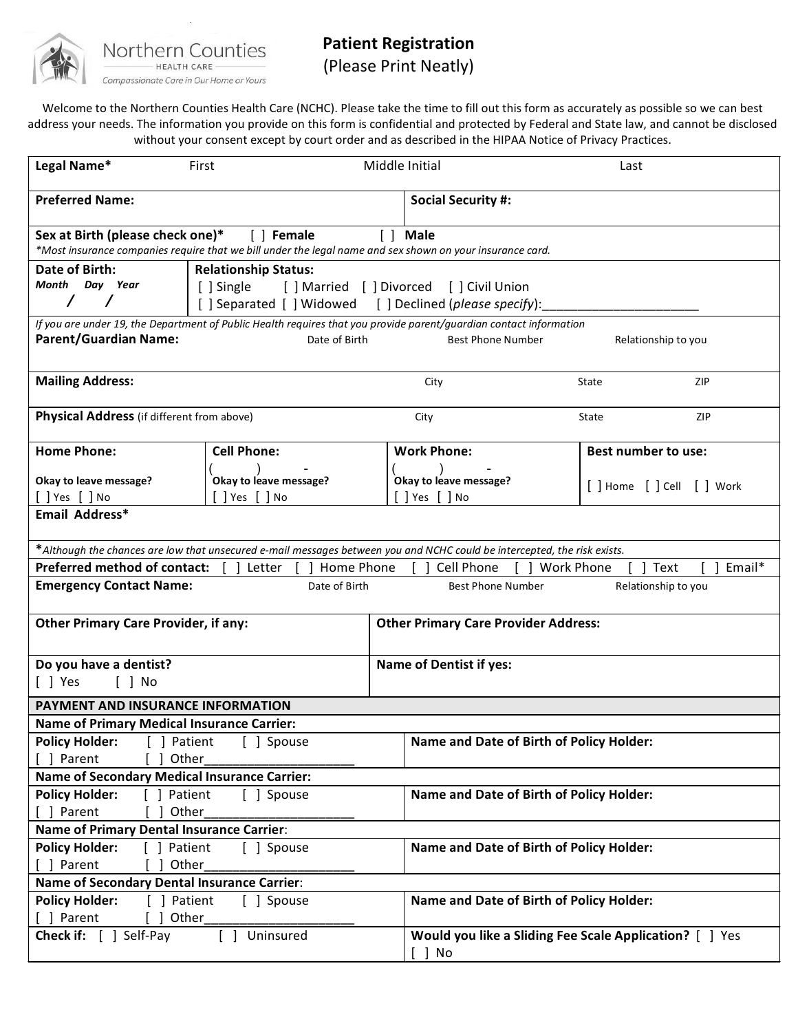

## **Patient Registration**

(Please Print Neatly)

Welcome to the Northern Counties Health Care (NCHC). Please take the time to fill out this form as accurately as possible so we can best address your needs. The information you provide on this form is confidential and protected by Federal and State law, and cannot be disclosed without your consent except by court order and as described in the HIPAA Notice of Privacy Practices.

| Legal Name*                                                                                                                                                             | First                                            |  | Middle Initial                                                    | Last                       |  |
|-------------------------------------------------------------------------------------------------------------------------------------------------------------------------|--------------------------------------------------|--|-------------------------------------------------------------------|----------------------------|--|
| <b>Preferred Name:</b>                                                                                                                                                  |                                                  |  | <b>Social Security #:</b>                                         |                            |  |
| Sex at Birth (please check one)*<br>[ ] Female<br>[ ] Male<br>*Most insurance companies require that we bill under the legal name and sex shown on your insurance card. |                                                  |  |                                                                   |                            |  |
| <b>Date of Birth:</b><br><b>Relationship Status:</b>                                                                                                                    |                                                  |  |                                                                   |                            |  |
| Month Day Year<br>[ ] Married [ ] Divorced<br>[ ] Single<br>[ ] Civil Union                                                                                             |                                                  |  |                                                                   |                            |  |
| $\prime$<br>[] Separated [] Widowed [] Declined (please specify):                                                                                                       |                                                  |  |                                                                   |                            |  |
| If you are under 19, the Department of Public Health requires that you provide parent/guardian contact information                                                      |                                                  |  |                                                                   |                            |  |
| <b>Parent/Guardian Name:</b><br>Date of Birth<br><b>Best Phone Number</b><br>Relationship to you                                                                        |                                                  |  |                                                                   |                            |  |
| <b>Mailing Address:</b>                                                                                                                                                 |                                                  |  | City                                                              | ZIP<br>State               |  |
| Physical Address (if different from above)                                                                                                                              |                                                  |  | City                                                              | <b>ZIP</b><br>State        |  |
| <b>Home Phone:</b>                                                                                                                                                      | <b>Cell Phone:</b>                               |  | <b>Work Phone:</b>                                                | <b>Best number to use:</b> |  |
|                                                                                                                                                                         |                                                  |  |                                                                   |                            |  |
| Okay to leave message?<br>$[$ $]$ Yes $[$ $]$ No                                                                                                                        | Okay to leave message?<br>$[$ $]$ Yes $[$ $]$ No |  | Okay to leave message?<br>[ ] Yes [ ] No                          | [ ] Home [ ] Cell [ ] Work |  |
| Email Address*                                                                                                                                                          |                                                  |  |                                                                   |                            |  |
|                                                                                                                                                                         |                                                  |  |                                                                   |                            |  |
| *Although the chances are low that unsecured e-mail messages between you and NCHC could be intercepted, the risk exists.                                                |                                                  |  |                                                                   |                            |  |
| <b>Preferred method of contact:</b>                                                                                                                                     | Home Phone<br>Letter                             |  | Cell Phone<br><b>Work Phone</b>                                   | Email*<br>$[ ]$ Text       |  |
| <b>Emergency Contact Name:</b><br>Date of Birth<br><b>Best Phone Number</b><br>Relationship to you                                                                      |                                                  |  |                                                                   |                            |  |
| <b>Other Primary Care Provider, if any:</b>                                                                                                                             |                                                  |  | <b>Other Primary Care Provider Address:</b>                       |                            |  |
|                                                                                                                                                                         |                                                  |  |                                                                   |                            |  |
| Do you have a dentist?                                                                                                                                                  |                                                  |  | <b>Name of Dentist if yes:</b>                                    |                            |  |
| [ ] Yes<br>$[$ $]$ No                                                                                                                                                   |                                                  |  |                                                                   |                            |  |
| PAYMENT AND INSURANCE INFORMATION                                                                                                                                       |                                                  |  |                                                                   |                            |  |
| <b>Name of Primary Medical Insurance Carrier:</b>                                                                                                                       |                                                  |  |                                                                   |                            |  |
| Policy Holder: [ ] Patient [ ] Spouse                                                                                                                                   |                                                  |  | Name and Date of Birth of Policy Holder:                          |                            |  |
| Parent<br>Other                                                                                                                                                         |                                                  |  |                                                                   |                            |  |
| <b>Name of Secondary Medical Insurance Carrier:</b>                                                                                                                     |                                                  |  |                                                                   |                            |  |
| <b>Policy Holder:</b><br>] Patient                                                                                                                                      | [ ] Spouse                                       |  | Name and Date of Birth of Policy Holder:                          |                            |  |
| Parent<br>Other                                                                                                                                                         |                                                  |  |                                                                   |                            |  |
| <b>Name of Primary Dental Insurance Carrier:</b>                                                                                                                        |                                                  |  |                                                                   |                            |  |
| <b>Policy Holder:</b><br>[ ] Patient<br>[ ] Spouse                                                                                                                      |                                                  |  | Name and Date of Birth of Policy Holder:                          |                            |  |
| Other<br>[ ] Parent                                                                                                                                                     |                                                  |  |                                                                   |                            |  |
| <b>Name of Secondary Dental Insurance Carrier:</b>                                                                                                                      |                                                  |  |                                                                   |                            |  |
| <b>Policy Holder:</b><br>] Patient<br>[ ] Spouse<br>Other                                                                                                               |                                                  |  | Name and Date of Birth of Policy Holder:                          |                            |  |
| ] Parent<br><b>Check if:</b> [ ] Self-Pay                                                                                                                               | [ ] Uninsured                                    |  | Would you like a Sliding Fee Scale Application? [ ] Yes<br>[ ] No |                            |  |
|                                                                                                                                                                         |                                                  |  |                                                                   |                            |  |